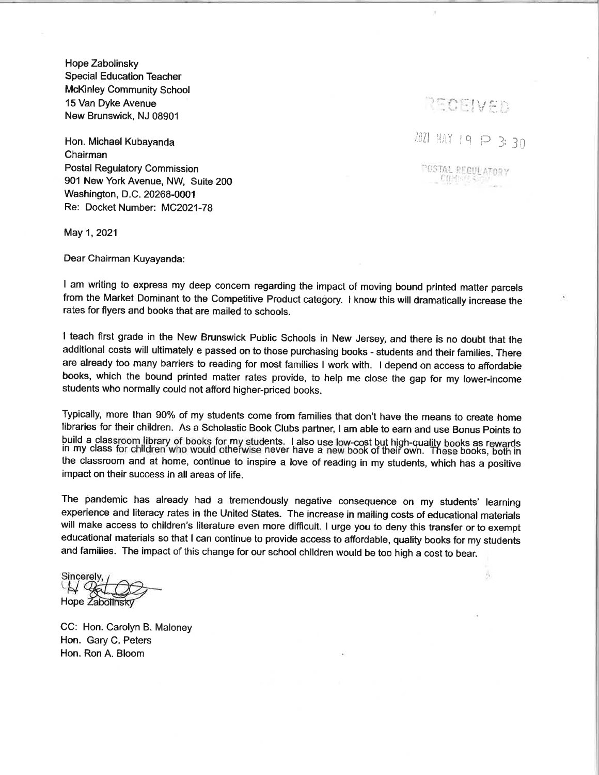Hope Zabolinsky **Special Education Teacher McKinley Community School** 15 Van Dyke Avenue New Brunswick, NJ 08901

Hon. Michael Kubayanda Chairman **Postal Requiatory Commission** 901 New York Avenue, NW. Suite 200 Washington, D.C. 20268-0001 Re: Docket Number: MC2021-78

May 1, 2021

Dear Chairman Kuyayanda:

I am writing to express my deep concern regarding the impact of moving bound printed matter parcels from the Market Dominant to the Competitive Product category. I know this will dramatically increase the rates for flyers and books that are mailed to schools.

I teach first grade in the New Brunswick Public Schools in New Jersey, and there is no doubt that the additional costs will ultimately e passed on to those purchasing books - students and their families. There are already too many barriers to reading for most families I work with. I depend on access to affordable books, which the bound printed matter rates provide, to help me close the gap for my lower-income students who normally could not afford higher-priced books.

Typically, more than 90% of my students come from families that don't have the means to create home fibraries for their children. As a Scholastic Book Clubs partner, I am able to earn and use Bonus Points to build a classroom library of books for my students. I also use low-cost but high-quality books as rewards<br>in my class for children who would otherwise never have a new book of their own. These books, both in the classroom and at home, continue to inspire a love of reading in my students, which has a positive impact on their success in all areas of life.

The pandemic has already had a tremendously negative consequence on my students' learning experience and literacy rates in the United States. The increase in mailing costs of educational materials will make access to children's literature even more difficult. I urge you to deny this transfer or to exempt educational materials so that I can continue to provide access to affordable, quality books for my students and families. The impact of this change for our school children would be too high a cost to bear.

Sincerely, H Cola Hope Zabolinsky

CC: Hon. Carolyn B. Maloney Hon. Gary C. Peters Hon. Ron A. Bloom

2021 MAY 19 P 3: 30

RECEIVED

POSTAL REGULATORY COMMISSION

赤